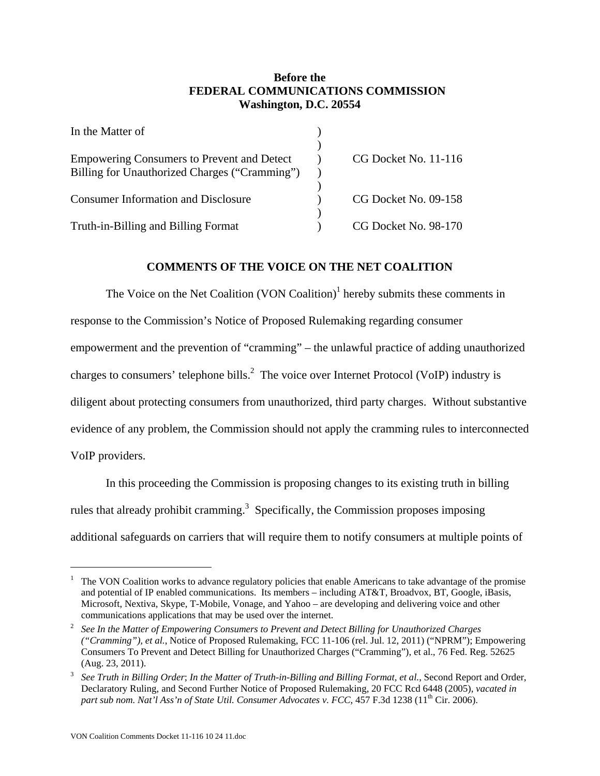## **Before the FEDERAL COMMUNICATIONS COMMISSION Washington, D.C. 20554**

| In the Matter of                                                                                   |                      |
|----------------------------------------------------------------------------------------------------|----------------------|
| <b>Empowering Consumers to Prevent and Detect</b><br>Billing for Unauthorized Charges ("Cramming") | CG Docket No. 11-116 |
| <b>Consumer Information and Disclosure</b>                                                         | CG Docket No. 09-158 |
| Truth-in-Billing and Billing Format                                                                | CG Docket No. 98-170 |

## **COMMENTS OF THE VOICE ON THE NET COALITION**

The Voice on the Net Coalition  $(VON$  Coalition)<sup>1</sup> hereby submits these comments in response to the Commission's Notice of Proposed Rulemaking regarding consumer empowerment and the prevention of "cramming" – the unlawful practice of adding unauthorized charges to consumers' telephone bills.<sup>2</sup> The voice over Internet Protocol (VoIP) industry is diligent about protecting consumers from unauthorized, third party charges. Without substantive evidence of any problem, the Commission should not apply the cramming rules to interconnected VoIP providers.

In this proceeding the Commission is proposing changes to its existing truth in billing rules that already prohibit cramming.<sup>3</sup> Specifically, the Commission proposes imposing additional safeguards on carriers that will require them to notify consumers at multiple points of

 $\overline{a}$ 

<sup>1</sup> The VON Coalition works to advance regulatory policies that enable Americans to take advantage of the promise and potential of IP enabled communications. Its members – including AT&T, Broadvox, BT, Google, iBasis, Microsoft, Nextiva, Skype, T-Mobile, Vonage, and Yahoo – are developing and delivering voice and other communications applications that may be used over the internet.<br> $\frac{2}{3}$  See In the Matter of Empoyering Consumers to Prevent and Det

*See In the Matter of Empowering Consumers to Prevent and Detect Billing for Unauthorized Charges ("Cramming"), et al.*, Notice of Proposed Rulemaking, FCC 11-106 (rel. Jul. 12, 2011) ("NPRM"); Empowering Consumers To Prevent and Detect Billing for Unauthorized Charges ("Cramming"), et al., 76 Fed. Reg. 52625 (Aug. 23, 2011).

<sup>3</sup> *See Truth in Billing Order*; *In the Matter of Truth-in-Billing and Billing Format, et al.*, Second Report and Order, Declaratory Ruling, and Second Further Notice of Proposed Rulemaking, 20 FCC Rcd 6448 (2005), *vacated in part sub nom. Nat'l Ass'n of State Util. Consumer Advocates v. FCC*, 457 F.3d 1238 (11<sup>th</sup> Cir. 2006).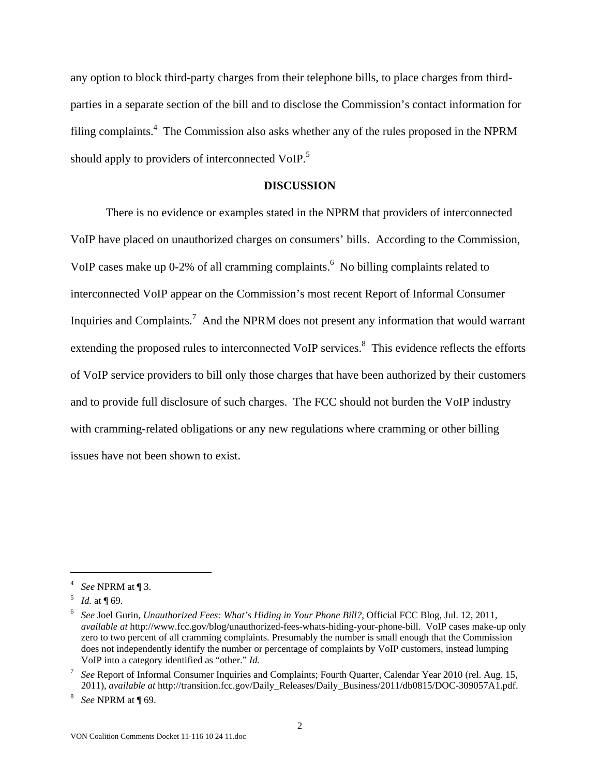any option to block third-party charges from their telephone bills, to place charges from thirdparties in a separate section of the bill and to disclose the Commission's contact information for filing complaints.<sup>4</sup> The Commission also asks whether any of the rules proposed in the NPRM should apply to providers of interconnected VoIP.<sup>5</sup>

#### **DISCUSSION**

There is no evidence or examples stated in the NPRM that providers of interconnected VoIP have placed on unauthorized charges on consumers' bills. According to the Commission, VoIP cases make up 0-2% of all cramming complaints.  $\delta$  No billing complaints related to interconnected VoIP appear on the Commission's most recent Report of Informal Consumer Inquiries and Complaints.<sup>7</sup> And the NPRM does not present any information that would warrant extending the proposed rules to interconnected VoIP services.<sup>8</sup> This evidence reflects the efforts of VoIP service providers to bill only those charges that have been authorized by their customers and to provide full disclosure of such charges. The FCC should not burden the VoIP industry with cramming-related obligations or any new regulations where cramming or other billing issues have not been shown to exist.

 $\overline{a}$ 

<sup>4</sup> *See* NPRM at ¶ 3.

*Id.* at **[69.**]

<sup>6</sup> *See* Joel Gurin, *Unauthorized Fees: What's Hiding in Your Phone Bill?*, Official FCC Blog, Jul. 12, 2011, *available at* http://www.fcc.gov/blog/unauthorized-fees-whats-hiding-your-phone-bill. VoIP cases make-up only zero to two percent of all cramming complaints. Presumably the number is small enough that the Commission does not independently identify the number or percentage of complaints by VoIP customers, instead lumping VoIP into a category identified as "other." *Id.*

<sup>7</sup> *See* Report of Informal Consumer Inquiries and Complaints; Fourth Quarter, Calendar Year 2010 (rel. Aug. 15, 2011), *available at* http://transition.fcc.gov/Daily\_Releases/Daily\_Business/2011/db0815/DOC-309057A1.pdf. 8

*See* NPRM at ¶ 69.